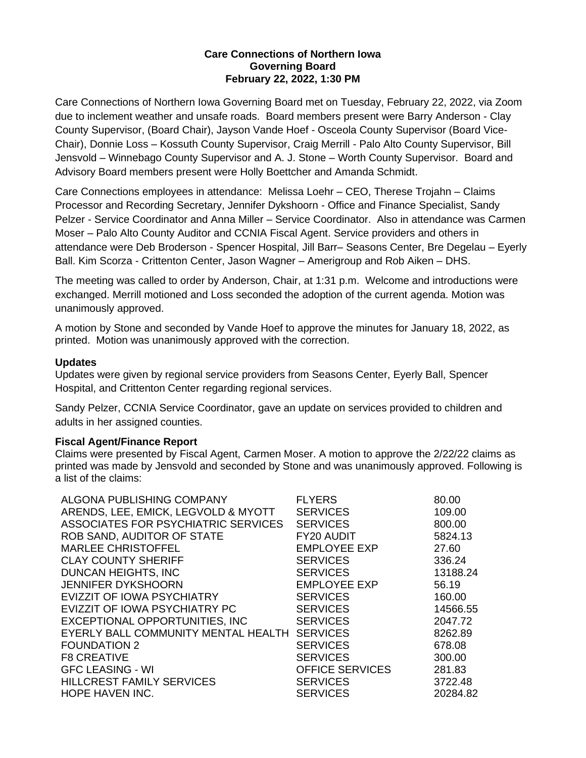# **Care Connections of Northern Iowa Governing Board February 22, 2022, 1:30 PM**

Care Connections of Northern Iowa Governing Board met on Tuesday, February 22, 2022, via Zoom due to inclement weather and unsafe roads. Board members present were Barry Anderson - Clay County Supervisor, (Board Chair), Jayson Vande Hoef - Osceola County Supervisor (Board Vice-Chair), Donnie Loss – Kossuth County Supervisor, Craig Merrill - Palo Alto County Supervisor, Bill Jensvold – Winnebago County Supervisor and A. J. Stone – Worth County Supervisor. Board and Advisory Board members present were Holly Boettcher and Amanda Schmidt.

Care Connections employees in attendance: Melissa Loehr – CEO, Therese Trojahn – Claims Processor and Recording Secretary, Jennifer Dykshoorn - Office and Finance Specialist, Sandy Pelzer - Service Coordinator and Anna Miller – Service Coordinator. Also in attendance was Carmen Moser – Palo Alto County Auditor and CCNIA Fiscal Agent. Service providers and others in attendance were Deb Broderson - Spencer Hospital, Jill Barr– Seasons Center, Bre Degelau – Eyerly Ball. Kim Scorza - Crittenton Center, Jason Wagner – Amerigroup and Rob Aiken – DHS.

The meeting was called to order by Anderson, Chair, at 1:31 p.m. Welcome and introductions were exchanged. Merrill motioned and Loss seconded the adoption of the current agenda. Motion was unanimously approved.

A motion by Stone and seconded by Vande Hoef to approve the minutes for January 18, 2022, as printed. Motion was unanimously approved with the correction.

## **Updates**

Updates were given by regional service providers from Seasons Center, Eyerly Ball, Spencer Hospital, and Crittenton Center regarding regional services.

Sandy Pelzer, CCNIA Service Coordinator, gave an update on services provided to children and adults in her assigned counties.

### **Fiscal Agent/Finance Report**

Claims were presented by Fiscal Agent, Carmen Moser. A motion to approve the 2/22/22 claims as printed was made by Jensvold and seconded by Stone and was unanimously approved. Following is a list of the claims:

| ALGONA PUBLISHING COMPANY           | <b>FLYERS</b>          | 80.00    |
|-------------------------------------|------------------------|----------|
| ARENDS, LEE, EMICK, LEGVOLD & MYOTT | <b>SERVICES</b>        | 109.00   |
| ASSOCIATES FOR PSYCHIATRIC SERVICES | <b>SERVICES</b>        | 800.00   |
| ROB SAND, AUDITOR OF STATE          | FY20 AUDIT             | 5824.13  |
| <b>MARLEE CHRISTOFFEL</b>           | <b>EMPLOYEE EXP</b>    | 27.60    |
| <b>CLAY COUNTY SHERIFF</b>          | <b>SERVICES</b>        | 336.24   |
| DUNCAN HEIGHTS, INC                 | <b>SERVICES</b>        | 13188.24 |
| <b>JENNIFER DYKSHOORN</b>           | <b>EMPLOYEE EXP</b>    | 56.19    |
| EVIZZIT OF IOWA PSYCHIATRY          | <b>SERVICES</b>        | 160.00   |
| EVIZZIT OF IOWA PSYCHIATRY PC       | <b>SERVICES</b>        | 14566.55 |
| EXCEPTIONAL OPPORTUNITIES, INC      | <b>SERVICES</b>        | 2047.72  |
| EYERLY BALL COMMUNITY MENTAL HEALTH | <b>SERVICES</b>        | 8262.89  |
| <b>FOUNDATION 2</b>                 | <b>SERVICES</b>        | 678.08   |
| <b>F8 CREATIVE</b>                  | <b>SERVICES</b>        | 300.00   |
| <b>GFC LEASING - WI</b>             | <b>OFFICE SERVICES</b> | 281.83   |
| <b>HILLCREST FAMILY SERVICES</b>    | <b>SERVICES</b>        | 3722.48  |
| <b>HOPE HAVEN INC.</b>              | <b>SERVICES</b>        | 20284.82 |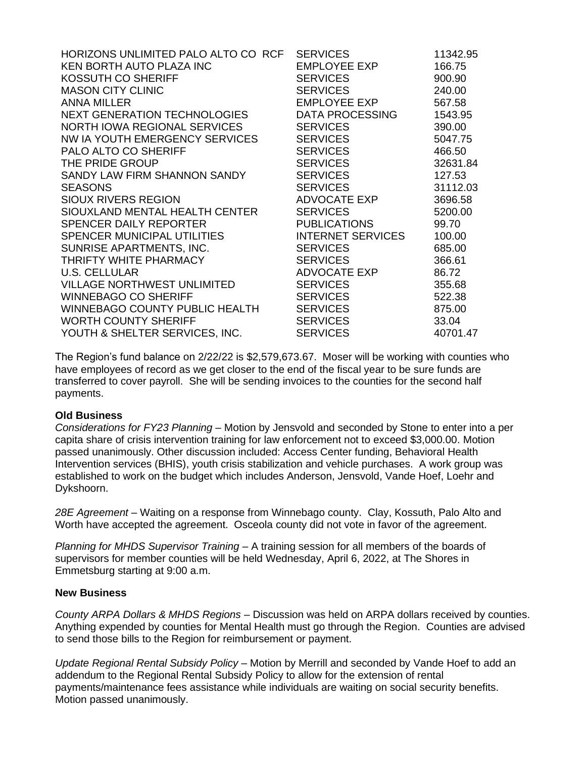| HORIZONS UNLIMITED PALO ALTO CO RCF | <b>SERVICES</b>          | 11342.95 |
|-------------------------------------|--------------------------|----------|
| KEN BORTH AUTO PLAZA INC            | EMPLOYEE EXP             | 166.75   |
| KOSSUTH CO SHERIFF                  | <b>SERVICES</b>          | 900.90   |
| <b>MASON CITY CLINIC</b>            | <b>SERVICES</b>          | 240.00   |
| <b>ANNA MILLER</b>                  | EMPLOYEE EXP             | 567.58   |
| NEXT GENERATION TECHNOLOGIES        | DATA PROCESSING          | 1543.95  |
| NORTH IOWA REGIONAL SERVICES        | <b>SERVICES</b>          | 390.00   |
| NW IA YOUTH EMERGENCY SERVICES      | <b>SERVICES</b>          | 5047.75  |
| PALO ALTO CO SHERIFF                | <b>SERVICES</b>          | 466.50   |
| THE PRIDE GROUP                     | <b>SERVICES</b>          | 32631.84 |
| SANDY LAW FIRM SHANNON SANDY        | <b>SERVICES</b>          | 127.53   |
| <b>SEASONS</b>                      | <b>SERVICES</b>          | 31112.03 |
| SIOUX RIVERS REGION                 | ADVOCATE EXP             | 3696.58  |
| SIOUXLAND MENTAL HEALTH CENTER      | <b>SERVICES</b>          | 5200.00  |
| SPENCER DAILY REPORTER              | <b>PUBLICATIONS</b>      | 99.70    |
| SPENCER MUNICIPAL UTILITIES         | <b>INTERNET SERVICES</b> | 100.00   |
| SUNRISE APARTMENTS, INC.            | <b>SERVICES</b>          | 685.00   |
| THRIFTY WHITE PHARMACY              | <b>SERVICES</b>          | 366.61   |
| <b>U.S. CELLULAR</b>                | ADVOCATE EXP             | 86.72    |
| VILLAGE NORTHWEST UNLIMITED         | <b>SERVICES</b>          | 355.68   |
| <b>WINNEBAGO CO SHERIFF</b>         | <b>SERVICES</b>          | 522.38   |
| WINNEBAGO COUNTY PUBLIC HEALTH      | <b>SERVICES</b>          | 875.00   |
| <b>WORTH COUNTY SHERIFF</b>         | <b>SERVICES</b>          | 33.04    |
| YOUTH & SHELTER SERVICES, INC.      | <b>SERVICES</b>          | 40701.47 |

The Region's fund balance on 2/22/22 is \$2,579,673.67. Moser will be working with counties who have employees of record as we get closer to the end of the fiscal year to be sure funds are transferred to cover payroll. She will be sending invoices to the counties for the second half payments.

### **Old Business**

*Considerations for FY23 Planning* – Motion by Jensvold and seconded by Stone to enter into a per capita share of crisis intervention training for law enforcement not to exceed \$3,000.00. Motion passed unanimously. Other discussion included: Access Center funding, Behavioral Health Intervention services (BHIS), youth crisis stabilization and vehicle purchases. A work group was established to work on the budget which includes Anderson, Jensvold, Vande Hoef, Loehr and Dykshoorn.

*28E Agreement* – Waiting on a response from Winnebago county. Clay, Kossuth, Palo Alto and Worth have accepted the agreement. Osceola county did not vote in favor of the agreement.

*Planning for MHDS Supervisor Training* – A training session for all members of the boards of supervisors for member counties will be held Wednesday, April 6, 2022, at The Shores in Emmetsburg starting at 9:00 a.m.

### **New Business**

*County ARPA Dollars & MHDS Regions* – Discussion was held on ARPA dollars received by counties. Anything expended by counties for Mental Health must go through the Region. Counties are advised to send those bills to the Region for reimbursement or payment.

*Update Regional Rental Subsidy Policy* – Motion by Merrill and seconded by Vande Hoef to add an addendum to the Regional Rental Subsidy Policy to allow for the extension of rental payments/maintenance fees assistance while individuals are waiting on social security benefits. Motion passed unanimously.